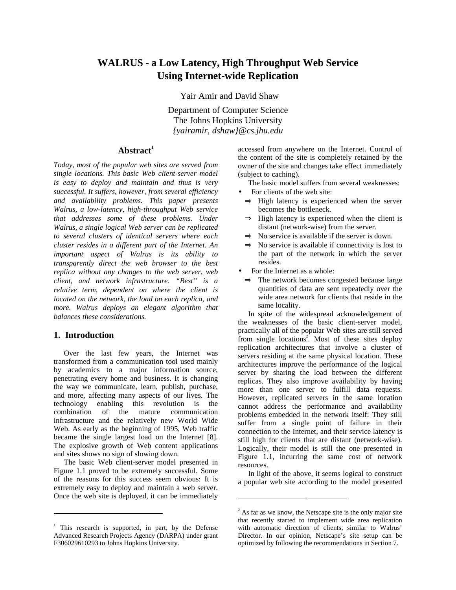# **WALRUS - a Low Latency, High Throughput Web Service Using Internet-wide Replication**

Yair Amir and David Shaw

Department of Computer Science The Johns Hopkins University *{yairamir, dshaw}@cs.jhu.edu*

## **Abstract 1**

*Today, most of the popular web sites are served from single locations. This basic Web client-server model is easy to deploy and maintain and thus is very successful. It suffers, however, from several efficiency and availability problems. This paper presents Walrus, a low-latency, high-throughput Web service that addresses some of these problems. Under Walrus, a single logical Web server can be replicated to several clusters of identical servers where each cluster resides in a different part of the Internet. An important aspect of Walrus is its ability to transparently direct the web browser to the best replica without any changes to the web server, web client, and network infrastructure. "Best" is a relative term, dependent on where the client is located on the network, the load on each replica, and more. Walrus deploys an elegant algorithm that balances these considerations.*

#### **1. Introduction**

1

Over the last few years, the Internet was transformed from a communication tool used mainly by academics to a major information source, penetrating every home and business. It is changing the way we communicate, learn, publish, purchase, and more, affecting many aspects of our lives. The technology enabling this revolution is the combination of the mature communication infrastructure and the relatively new World Wide Web. As early as the beginning of 1995, Web traffic became the single largest load on the Internet [8]. The explosive growth of Web content applications and sites shows no sign of slowing down.

The basic Web client-server model presented in Figure 1.1 proved to be extremely successful. Some of the reasons for this success seem obvious: It is extremely easy to deploy and maintain a web server. Once the web site is deployed, it can be immediately

accessed from anywhere on the Internet. Control of the content of the site is completely retained by the owner of the site and changes take effect immediately (subject to caching).

The basic model suffers from several weaknesses:

- For clients of the web site:
- $\Rightarrow$  High latency is experienced when the server becomes the bottleneck.
- $\Rightarrow$  High latency is experienced when the client is distant (network-wise) from the server.
- $\Rightarrow$  No service is available if the server is down.
- $\Rightarrow$  No service is available if connectivity is lost to the part of the network in which the server resides.
- For the Internet as a whole:
	- $\Rightarrow$  The network becomes congested because large quantities of data are sent repeatedly over the wide area network for clients that reside in the same locality.

In spite of the widespread acknowledgement of the weaknesses of the basic client-server model, practically all of the popular Web sites are still served from single locations<sup>2</sup>. Most of these sites deploy replication architectures that involve a cluster of servers residing at the same physical location. These architectures improve the performance of the logical server by sharing the load between the different replicas. They also improve availability by having more than one server to fulfill data requests. However, replicated servers in the same location cannot address the performance and availability problems embedded in the network itself: They still suffer from a single point of failure in their connection to the Internet, and their service latency is still high for clients that are distant (network-wise). Logically, their model is still the one presented in Figure 1.1, incurring the same cost of network resources.

In light of the above, it seems logical to construct a popular web site according to the model presented

1

<sup>&</sup>lt;sup>1</sup> This research is supported, in part, by the Defense Advanced Research Projects Agency (DARPA) under grant F306029610293 to Johns Hopkins University.

 $2^{2}$  As far as we know, the Netscape site is the only major site that recently started to implement wide area replication with automatic direction of clients, similar to Walrus' Director. In our opinion, Netscape's site setup can be optimized by following the recommendations in Section 7.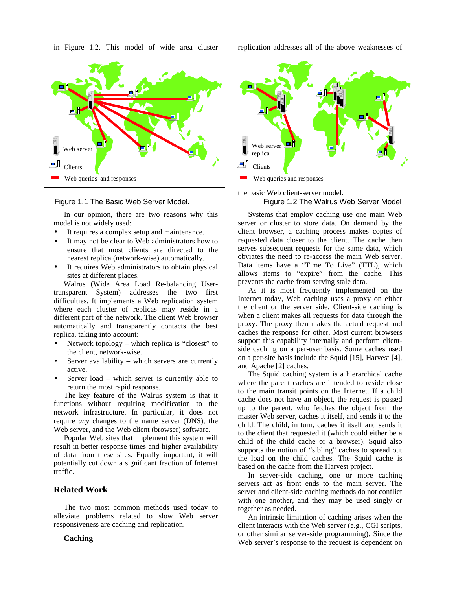in Figure 1.2. This model of wide area cluster replication addresses all of the above weaknesses of



In our opinion, there are two reasons why this model is not widely used:

- It requires a complex setup and maintenance.
- It may not be clear to Web administrators how to ensure that most clients are directed to the nearest replica (network-wise) automatically.
- It requires Web administrators to obtain physical sites at different places.

Walrus (Wide Area Load Re-balancing Usertransparent System) addresses the two first difficulties. It implements a Web replication system where each cluster of replicas may reside in a different part of the network. The client Web browser automatically and transparently contacts the best replica, taking into account:

- Network topology which replica is "closest" to the client, network-wise.
- Server availability which servers are currently active.
- Server load which server is currently able to return the most rapid response.

The key feature of the Walrus system is that it functions without requiring modification to the network infrastructure. In particular, it does not require *any* changes to the name server (DNS), the Web server, and the Web client (browser) software.

Popular Web sites that implement this system will result in better response times and higher availability of data from these sites. Equally important, it will potentially cut down a significant fraction of Internet traffic.

#### **Related Work**

The two most common methods used today to alleviate problems related to slow Web server responsiveness are caching and replication.

**Caching**



the basic Web client-server model.

Figure 1.1 The Basic Web Server Model. Figure 1.2 The Walrus Web Server Model

Systems that employ caching use one main Web server or cluster to store data. On demand by the client browser, a caching process makes copies of requested data closer to the client. The cache then serves subsequent requests for the same data, which obviates the need to re-access the main Web server. Data items have a "Time To Live" (TTL), which allows items to "expire" from the cache. This prevents the cache from serving stale data.

As it is most frequently implemented on the Internet today, Web caching uses a proxy on either the client or the server side. Client-side caching is when a client makes all requests for data through the proxy. The proxy then makes the actual request and caches the response for other. Most current browsers support this capability internally and perform clientside caching on a per-user basis. Some caches used on a per-site basis include the Squid [15], Harvest [4], and Apache [2] caches.

The Squid caching system is a hierarchical cache where the parent caches are intended to reside close to the main transit points on the Internet. If a child cache does not have an object, the request is passed up to the parent, who fetches the object from the master Web server, caches it itself, and sends it to the child. The child, in turn, caches it itself and sends it to the client that requested it (which could either be a child of the child cache or a browser). Squid also supports the notion of "sibling" caches to spread out the load on the child caches. The Squid cache is based on the cache from the Harvest project.

In server-side caching, one or more caching servers act as front ends to the main server. The server and client-side caching methods do not conflict with one another, and they may be used singly or together as needed.

An intrinsic limitation of caching arises when the client interacts with the Web server (e.g., CGI scripts, or other similar server-side programming). Since the Web server's response to the request is dependent on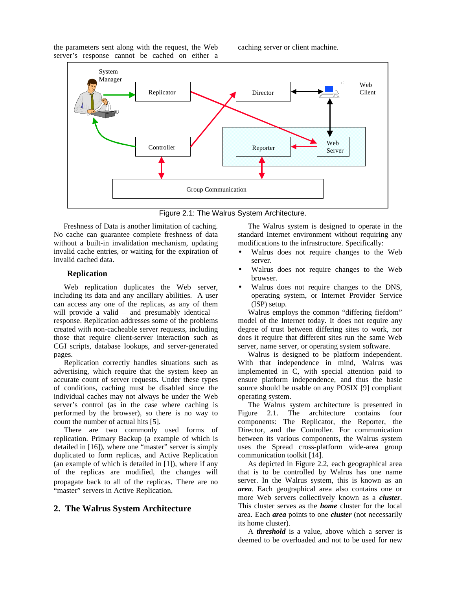the parameters sent along with the request, the Web server's response cannot be cached on either a caching server or client machine.



Figure 2.1: The Walrus System Architecture.

Freshness of Data is another limitation of caching. No cache can guarantee complete freshness of data without a built-in invalidation mechanism, updating invalid cache entries, or waiting for the expiration of invalid cached data.

### **Replication**

Web replication duplicates the Web server, including its data and any ancillary abilities. A user can access any one of the replicas, as any of them will provide a valid – and presumably identical – response. Replication addresses some of the problems created with non-cacheable server requests, including those that require client-server interaction such as CGI scripts, database lookups, and server-generated pages.

Replication correctly handles situations such as advertising, which require that the system keep an accurate count of server requests. Under these types of conditions, caching must be disabled since the individual caches may not always be under the Web server's control (as in the case where caching is performed by the browser), so there is no way to count the number of actual hits [5].

There are two commonly used forms of replication. Primary Backup (a example of which is detailed in [16]), where one "master" server is simply duplicated to form replicas, and Active Replication (an example of which is detailed in [1]), where if any of the replicas are modified, the changes will propagate back to all of the replicas. There are no "master" servers in Active Replication.

### **2. The Walrus System Architecture**

The Walrus system is designed to operate in the standard Internet environment without requiring any modifications to the infrastructure. Specifically:

- Walrus does not require changes to the Web server.
- Walrus does not require changes to the Web browser.
- Walrus does not require changes to the DNS, operating system, or Internet Provider Service (ISP) setup.

Walrus employs the common "differing fiefdom" model of the Internet today. It does not require any degree of trust between differing sites to work, nor does it require that different sites run the same Web server, name server, or operating system software.

Walrus is designed to be platform independent. With that independence in mind, Walrus was implemented in C, with special attention paid to ensure platform independence, and thus the basic source should be usable on any POSIX [9] compliant operating system.

The Walrus system architecture is presented in Figure 2.1. The architecture contains four components: The Replicator, the Reporter, the Director, and the Controller. For communication between its various components, the Walrus system uses the Spread cross-platform wide-area group communication toolkit [14].

As depicted in Figure 2.2, each geographical area that is to be controlled by Walrus has one name server. In the Walrus system, this is known as an *area*. Each geographical area also contains one or more Web servers collectively known as a *cluster*. This cluster serves as the *home* cluster for the local area. Each *area* points to one *cluster* (not necessarily its home cluster).

A *threshold* is a value, above which a server is deemed to be overloaded and not to be used for new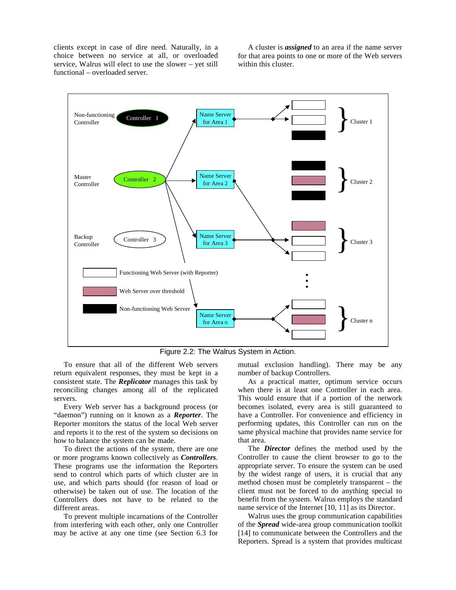clients except in case of dire need. Naturally, in a choice between no service at all, or overloaded service, Walrus will elect to use the slower – yet still functional – overloaded server.

A cluster is *assigned* to an area if the name server for that area points to one or more of the Web servers within this cluster.



Figure 2.2: The Walrus System in Action.

To ensure that all of the different Web servers return equivalent responses, they must be kept in a consistent state. The *Replicator* manages this task by reconciling changes among all of the replicated servers.

Every Web server has a background process (or "daemon") running on it known as a *Reporter*. The Reporter monitors the status of the local Web server and reports it to the rest of the system so decisions on how to balance the system can be made.

To direct the actions of the system, there are one or more programs known collectively as *Controllers*. These programs use the information the Reporters send to control which parts of which cluster are in use, and which parts should (for reason of load or otherwise) be taken out of use. The location of the Controllers does not have to be related to the different areas.

To prevent multiple incarnations of the Controller from interfering with each other, only one Controller may be active at any one time (see Section 6.3 for mutual exclusion handling). There may be any number of backup Controllers.

As a practical matter, optimum service occurs when there is at least one Controller in each area. This would ensure that if a portion of the network becomes isolated, every area is still guaranteed to have a Controller. For convenience and efficiency in performing updates, this Controller can run on the same physical machine that provides name service for that area.

The *Director* defines the method used by the Controller to cause the client browser to go to the appropriate server. To ensure the system can be used by the widest range of users, it is crucial that any method chosen must be completely transparent – the client must not be forced to do anything special to benefit from the system. Walrus employs the standard name service of the Internet [10, 11] as its Director.

Walrus uses the group communication capabilities of the *Spread* wide-area group communication toolkit [14] to communicate between the Controllers and the Reporters. Spread is a system that provides multicast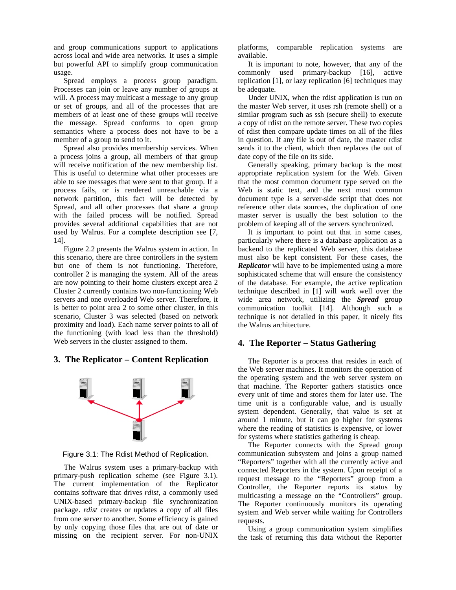and group communications support to applications across local and wide area networks. It uses a simple but powerful API to simplify group communication usage.

Spread employs a process group paradigm. Processes can join or leave any number of groups at will. A process may multicast a message to any group or set of groups, and all of the processes that are members of at least one of these groups will receive the message. Spread conforms to open group semantics where a process does not have to be a member of a group to send to it.

Spread also provides membership services. When a process joins a group, all members of that group will receive notification of the new membership list. This is useful to determine what other processes are able to see messages that were sent to that group. If a process fails, or is rendered unreachable via a network partition, this fact will be detected by Spread, and all other processes that share a group with the failed process will be notified. Spread provides several additional capabilities that are not used by Walrus. For a complete description see [7, 14].

Figure 2.2 presents the Walrus system in action. In this scenario, there are three controllers in the system but one of them is not functioning. Therefore, controller 2 is managing the system. All of the areas are now pointing to their home clusters except area 2 Cluster 2 currently contains two non-functioning Web servers and one overloaded Web server. Therefore, it is better to point area 2 to some other cluster, in this scenario, Cluster 3 was selected (based on network proximity and load). Each name server points to all of the functioning (with load less than the threshold) Web servers in the cluster assigned to them.

### **3. The Replicator – Content Replication**



Figure 3.1: The Rdist Method of Replication.

The Walrus system uses a primary-backup with primary-push replication scheme (see Figure 3.1). The current implementation of the Replicator contains software that drives *rdist*, a commonly used UNIX-based primary-backup file synchronization package. *rdist* creates or updates a copy of all files from one server to another. Some efficiency is gained by only copying those files that are out of date or missing on the recipient server. For non-UNIX platforms, comparable replication systems are available.

It is important to note, however, that any of the commonly used primary-backup [16], active replication [1], or lazy replication [6] techniques may be adequate.

Under UNIX, when the rdist application is run on the master Web server, it uses rsh (remote shell) or a similar program such as ssh (secure shell) to execute a copy of rdist on the remote server. These two copies of rdist then compare update times on all of the files in question. If any file is out of date, the master rdist sends it to the client, which then replaces the out of date copy of the file on its side.

Generally speaking, primary backup is the most appropriate replication system for the Web. Given that the most common document type served on the Web is static text, and the next most common document type is a server-side script that does not reference other data sources, the duplication of one master server is usually the best solution to the problem of keeping all of the servers synchronized.

It is important to point out that in some cases, particularly where there is a database application as a backend to the replicated Web server, this database must also be kept consistent. For these cases, the *Replicator* will have to be implemented using a more sophisticated scheme that will ensure the consistency of the database. For example, the active replication technique described in [1] will work well over the wide area network, utilizing the *Spread* group communication toolkit [14]. Although such a technique is not detailed in this paper, it nicely fits the Walrus architecture.

## **4. The Reporter – Status Gathering**

The Reporter is a process that resides in each of the Web server machines. It monitors the operation of the operating system and the web server system on that machine. The Reporter gathers statistics once every unit of time and stores them for later use. The time unit is a configurable value, and is usually system dependent. Generally, that value is set at around 1 minute, but it can go higher for systems where the reading of statistics is expensive, or lower for systems where statistics gathering is cheap.

The Reporter connects with the Spread group communication subsystem and joins a group named "Reporters" together with all the currently active and connected Reporters in the system. Upon receipt of a request message to the "Reporters" group from a Controller, the Reporter reports its status by multicasting a message on the "Controllers" group. The Reporter continuously monitors its operating system and Web server while waiting for Controllers requests.

Using a group communication system simplifies the task of returning this data without the Reporter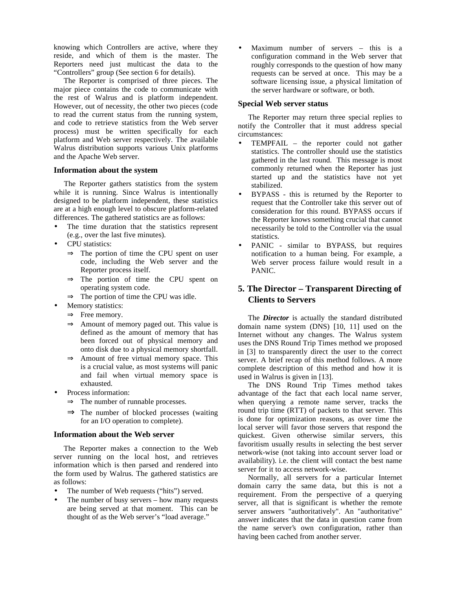knowing which Controllers are active, where they reside, and which of them is the master. The Reporters need just multicast the data to the "Controllers" group (See section 6 for details).

The Reporter is comprised of three pieces. The major piece contains the code to communicate with the rest of Walrus and is platform independent. However, out of necessity, the other two pieces (code to read the current status from the running system, and code to retrieve statistics from the Web server process) must be written specifically for each platform and Web server respectively. The available Walrus distribution supports various Unix platforms and the Apache Web server.

#### **Information about the system**

The Reporter gathers statistics from the system while it is running. Since Walrus is intentionally designed to be platform independent, these statistics are at a high enough level to obscure platform-related differences. The gathered statistics are as follows:

- The time duration that the statistics represent (e.g., over the last five minutes).
- CPU statistics:
	- $\Rightarrow$  The portion of time the CPU spent on user code, including the Web server and the Reporter process itself.
	- $\Rightarrow$  The portion of time the CPU spent on operating system code.
	- $\Rightarrow$  The portion of time the CPU was idle.
- Memory statistics:
	- $\Rightarrow$  Free memory.
	- ⇒ Amount of memory paged out. This value is defined as the amount of memory that has been forced out of physical memory and onto disk due to a physical memory shortfall.
	- $\Rightarrow$  Amount of free virtual memory space. This is a crucial value, as most systems will panic and fail when virtual memory space is exhausted.
- Process information:
	- $\Rightarrow$  The number of runnable processes.
	- $\Rightarrow$  The number of blocked processes (waiting for an I/O operation to complete).

#### **Information about the Web server**

The Reporter makes a connection to the Web server running on the local host, and retrieves information which is then parsed and rendered into the form used by Walrus. The gathered statistics are as follows:

- The number of Web requests ("hits") served.
- The number of busy servers how many requests are being served at that moment. This can be thought of as the Web server's "load average."

Maximum number of servers – this is a configuration command in the Web server that roughly corresponds to the question of how many requests can be served at once. This may be a software licensing issue, a physical limitation of the server hardware or software, or both.

### **Special Web server status**

The Reporter may return three special replies to notify the Controller that it must address special circumstances:

- TEMPFAIL the reporter could not gather statistics. The controller should use the statistics gathered in the last round. This message is most commonly returned when the Reporter has just started up and the statistics have not yet stabilized.
- BYPASS this is returned by the Reporter to request that the Controller take this server out of consideration for this round. BYPASS occurs if the Reporter knows something crucial that cannot necessarily be told to the Controller via the usual statistics.
- PANIC similar to BYPASS, but requires notification to a human being. For example, a Web server process failure would result in a PANIC.

## **5. The Director – Transparent Directing of Clients to Servers**

The *Director* is actually the standard distributed domain name system (DNS) [10, 11] used on the Internet without any changes. The Walrus system uses the DNS Round Trip Times method we proposed in [3] to transparently direct the user to the correct server. A brief recap of this method follows. A more complete description of this method and how it is used in Walrus is given in [13].

The DNS Round Trip Times method takes advantage of the fact that each local name server, when querying a remote name server, tracks the round trip time (RTT) of packets to that server. This is done for optimization reasons, as over time the local server will favor those servers that respond the quickest. Given otherwise similar servers, this favoritism usually results in selecting the best server network-wise (not taking into account server load or availability). i.e. the client will contact the best name server for it to access network-wise.

Normally, all servers for a particular Internet domain carry the same data, but this is not a requirement. From the perspective of a querying server, all that is significant is whether the remote server answers "authoritatively". An "authoritative" answer indicates that the data in question came from the name server's own configuration, rather than having been cached from another server.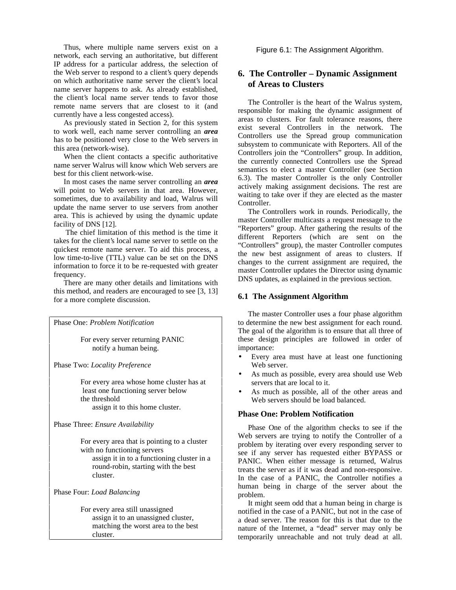Thus, where multiple name servers exist on a network, each serving an authoritative, but different IP address for a particular address, the selection of the Web server to respond to a client's query depends on which authoritative name server the client's local name server happens to ask. As already established, the client's local name server tends to favor those remote name servers that are closest to it (and currently have a less congested access).

As previously stated in Section 2, for this system to work well, each name server controlling an *area* has to be positioned very close to the Web servers in this area (network-wise).

When the client contacts a specific authoritative name server Walrus will know which Web servers are best for this client network-wise.

In most cases the name server controlling an *area* will point to Web servers in that area. However, sometimes, due to availability and load, Walrus will update the name server to use servers from another area. This is achieved by using the dynamic update facility of DNS [12].

The chief limitation of this method is the time it takes for the client's local name server to settle on the quickest remote name server. To aid this process, a low time-to-live (TTL) value can be set on the DNS information to force it to be re-requested with greater frequency.

There are many other details and limitations with this method, and readers are encouraged to see [3, 13] for a more complete discussion.

Phase One: *Problem Notification*

For every server returning PANIC notify a human being.

Phase Two: *Locality Preference*

For every area whose home cluster has at least one functioning server below the threshold assign it to this home cluster.

Phase Three: *Ensure Availability*

For every area that is pointing to a cluster with no functioning servers assign it in to a functioning cluster in a round-robin, starting with the best cluster.

Phase Four: *Load Balancing*

For every area still unassigned assign it to an unassigned cluster, matching the worst area to the best cluster.

Figure 6.1: The Assignment Algorithm.

## **6. The Controller – Dynamic Assignment of Areas to Clusters**

The Controller is the heart of the Walrus system, responsible for making the dynamic assignment of areas to clusters. For fault tolerance reasons, there exist several Controllers in the network. The Controllers use the Spread group communication subsystem to communicate with Reporters. All of the Controllers join the "Controllers" group. In addition, the currently connected Controllers use the Spread semantics to elect a master Controller (see Section 6.3). The master Controller is the only Controller actively making assignment decisions. The rest are waiting to take over if they are elected as the master Controller.

The Controllers work in rounds. Periodically, the master Controller multicasts a request message to the "Reporters" group. After gathering the results of the different Reporters (which are sent on the "Controllers" group), the master Controller computes the new best assignment of areas to clusters. If changes to the current assignment are required, the master Controller updates the Director using dynamic DNS updates, as explained in the previous section.

#### **6.1 The Assignment Algorithm**

The master Controller uses a four phase algorithm to determine the new best assignment for each round. The goal of the algorithm is to ensure that all three of these design principles are followed in order of importance:

- Every area must have at least one functioning Web server.
- As much as possible, every area should use Web servers that are local to it.
- As much as possible, all of the other areas and Web servers should be load balanced.

## **Phase One: Problem Notification**

Phase One of the algorithm checks to see if the Web servers are trying to notify the Controller of a problem by iterating over every responding server to see if any server has requested either BYPASS or PANIC. When either message is returned, Walrus treats the server as if it was dead and non-responsive. In the case of a PANIC, the Controller notifies a human being in charge of the server about the problem.

It might seem odd that a human being in charge is notified in the case of a PANIC, but not in the case of a dead server. The reason for this is that due to the nature of the Internet, a "dead" server may only be temporarily unreachable and not truly dead at all.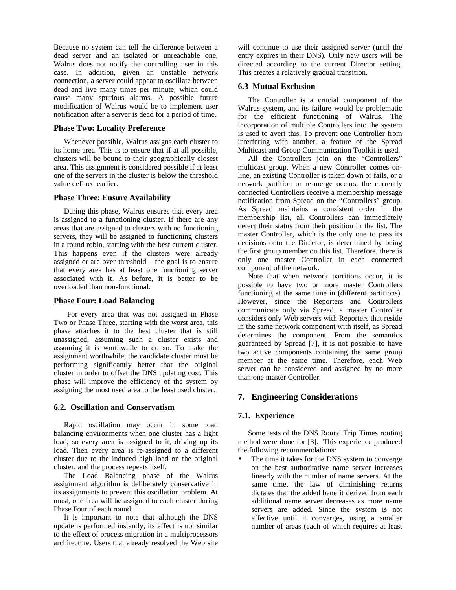Because no system can tell the difference between a dead server and an isolated or unreachable one, Walrus does not notify the controlling user in this case. In addition, given an unstable network connection, a server could appear to oscillate between dead and live many times per minute, which could cause many spurious alarms. A possible future modification of Walrus would be to implement user notification after a server is dead for a period of time.

#### **Phase Two: Locality Preference**

Whenever possible, Walrus assigns each cluster to its home area. This is to ensure that if at all possible, clusters will be bound to their geographically closest area. This assignment is considered possible if at least one of the servers in the cluster is below the threshold value defined earlier.

#### **Phase Three: Ensure Availability**

During this phase, Walrus ensures that every area is assigned to a functioning cluster. If there are any areas that are assigned to clusters with no functioning servers, they will be assigned to functioning clusters in a round robin, starting with the best current cluster. This happens even if the clusters were already assigned or are over threshold – the goal is to ensure that every area has at least one functioning server associated with it. As before, it is better to be overloaded than non-functional.

### **Phase Four: Load Balancing**

For every area that was not assigned in Phase Two or Phase Three, starting with the worst area, this phase attaches it to the best cluster that is still unassigned, assuming such a cluster exists and assuming it is worthwhile to do so. To make the assignment worthwhile, the candidate cluster must be performing significantly better that the original cluster in order to offset the DNS updating cost. This phase will improve the efficiency of the system by assigning the most used area to the least used cluster.

### **6.2. Oscillation and Conservatism**

Rapid oscillation may occur in some load balancing environments when one cluster has a light load, so every area is assigned to it, driving up its load. Then every area is re-assigned to a different cluster due to the induced high load on the original cluster, and the process repeats itself.

The Load Balancing phase of the Walrus assignment algorithm is deliberately conservative in its assignments to prevent this oscillation problem. At most, one area will be assigned to each cluster during Phase Four of each round.

It is important to note that although the DNS update is performed instantly, its effect is not similar to the effect of process migration in a multiprocessors architecture. Users that already resolved the Web site

will continue to use their assigned server (until the entry expires in their DNS). Only new users will be directed according to the current Director setting. This creates a relatively gradual transition.

## **6.3 Mutual Exclusion**

The Controller is a crucial component of the Walrus system, and its failure would be problematic for the efficient functioning of Walrus. The incorporation of multiple Controllers into the system is used to avert this. To prevent one Controller from interfering with another, a feature of the Spread Multicast and Group Communication Toolkit is used.

All the Controllers join on the "Controllers" multicast group. When a new Controller comes online, an existing Controller is taken down or fails, or a network partition or re-merge occurs, the currently connected Controllers receive a membership message notification from Spread on the "Controllers" group. As Spread maintains a consistent order in the membership list, all Controllers can immediately detect their status from their position in the list. The master Controller, which is the only one to pass its decisions onto the Director, is determined by being the first group member on this list. Therefore, there is only one master Controller in each connected component of the network.

Note that when network partitions occur, it is possible to have two or more master Controllers functioning at the same time in (different partitions). However, since the Reporters and Controllers communicate only via Spread, a master Controller considers only Web servers with Reporters that reside in the same network component with itself, as Spread determines the component. From the semantics guaranteed by Spread [7], it is not possible to have two active components containing the same group member at the same time. Therefore, each Web server can be considered and assigned by no more than one master Controller.

## **7. Engineering Considerations**

## **7.1. Experience**

Some tests of the DNS Round Trip Times routing method were done for [3]. This experience produced the following recommendations:

The time it takes for the DNS system to converge on the best authoritative name server increases linearly with the number of name servers. At the same time, the law of diminishing returns dictates that the added benefit derived from each additional name server decreases as more name servers are added. Since the system is not effective until it converges, using a smaller number of areas (each of which requires at least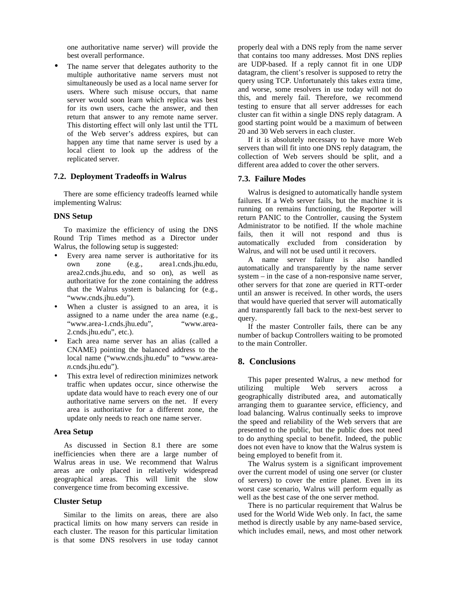one authoritative name server) will provide the best overall performance.

The name server that delegates authority to the multiple authoritative name servers must not simultaneously be used as a local name server for users. Where such misuse occurs, that name server would soon learn which replica was best for its own users, cache the answer, and then return that answer to any remote name server. This distorting effect will only last until the TTL of the Web server's address expires, but can happen any time that name server is used by a local client to look up the address of the replicated server.

#### **7.2. Deployment Tradeoffs in Walrus**

There are some efficiency tradeoffs learned while implementing Walrus:

#### **DNS Setup**

To maximize the efficiency of using the DNS Round Trip Times method as a Director under Walrus, the following setup is suggested:

- Every area name server is authoritative for its own zone (e.g., area1.cnds.jhu.edu, area2.cnds.jhu.edu, and so on), as well as authoritative for the zone containing the address that the Walrus system is balancing for (e.g., "www.cnds.jhu.edu").
- When a cluster is assigned to an area, it is assigned to a name under the area name (e.g., "www.area-1.cnds.jhu.edu", "www.area-2.cnds.jhu.edu", etc.).
- Each area name server has an alias (called a CNAME) pointing the balanced address to the local name ("www.cnds.jhu.edu" to "www.area*n*.cnds.jhu.edu").
- This extra level of redirection minimizes network traffic when updates occur, since otherwise the update data would have to reach every one of our authoritative name servers on the net. If every area is authoritative for a different zone, the update only needs to reach one name server.

#### **Area Setup**

As discussed in Section 8.1 there are some inefficiencies when there are a large number of Walrus areas in use. We recommend that Walrus areas are only placed in relatively widespread geographical areas. This will limit the slow convergence time from becoming excessive.

#### **Cluster Setup**

Similar to the limits on areas, there are also practical limits on how many servers can reside in each cluster. The reason for this particular limitation is that some DNS resolvers in use today cannot properly deal with a DNS reply from the name server that contains too many addresses. Most DNS replies are UDP-based. If a reply cannot fit in one UDP datagram, the client's resolver is supposed to retry the query using TCP. Unfortunately this takes extra time, and worse, some resolvers in use today will not do this, and merely fail. Therefore, we recommend testing to ensure that all server addresses for each cluster can fit within a single DNS reply datagram. A good starting point would be a maximum of between 20 and 30 Web servers in each cluster.

If it is absolutely necessary to have more Web servers than will fit into one DNS reply datagram, the collection of Web servers should be split, and a different area added to cover the other servers.

#### **7.3. Failure Modes**

Walrus is designed to automatically handle system failures. If a Web server fails, but the machine it is running on remains functioning, the Reporter will return PANIC to the Controller, causing the System Administrator to be notified. If the whole machine fails, then it will not respond and thus is automatically excluded from consideration by Walrus, and will not be used until it recovers.

A name server failure is also handled automatically and transparently by the name server system – in the case of a non-responsive name server, other servers for that zone are queried in RTT-order until an answer is received. In other words, the users that would have queried that server will automatically and transparently fall back to the next-best server to query.

If the master Controller fails, there can be any number of backup Controllers waiting to be promoted to the main Controller.

### **8. Conclusions**

This paper presented Walrus, a new method for utilizing multiple Web servers across a geographically distributed area, and automatically arranging them to guarantee service, efficiency, and load balancing. Walrus continually seeks to improve the speed and reliability of the Web servers that are presented to the public, but the public does not need to do anything special to benefit. Indeed, the public does not even have to know that the Walrus system is being employed to benefit from it.

The Walrus system is a significant improvement over the current model of using one server (or cluster of servers) to cover the entire planet. Even in its worst case scenario, Walrus will perform equally as well as the best case of the one server method.

There is no particular requirement that Walrus be used for the World Wide Web only. In fact, the same method is directly usable by any name-based service, which includes email, news, and most other network